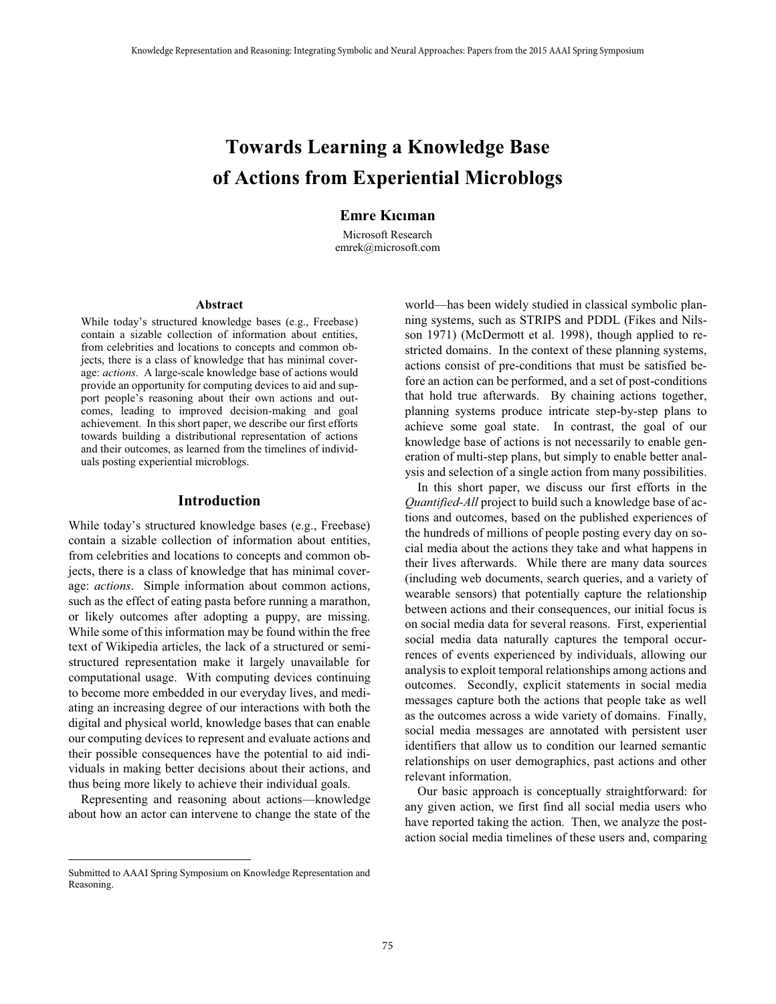# **Towards Learning a Knowledge Base of Actions from Experiential Microblogs**

# **Emre Kıcıman**

Microsoft Research emrek@microsoft.com

#### **Abstract**

While today's structured knowledge bases (e.g., Freebase) contain a sizable collection of information about entities, from celebrities and locations to concepts and common objects, there is a class of knowledge that has minimal coverage: *actions*. A large-scale knowledge base of actions would provide an opportunity for computing devices to aid and support people's reasoning about their own actions and outcomes, leading to improved decision-making and goal achievement. In this short paper, we describe our first efforts towards building a distributional representation of actions and their outcomes, as learned from the timelines of individuals posting experiential microblogs.

## **Introduction**

While today's structured knowledge bases (e.g., Freebase) contain a sizable collection of information about entities, from celebrities and locations to concepts and common objects, there is a class of knowledge that has minimal coverage: *actions*. Simple information about common actions, such as the effect of eating pasta before running a marathon, or likely outcomes after adopting a puppy, are missing. While some of this information may be found within the free text of Wikipedia articles, the lack of a structured or semistructured representation make it largely unavailable for computational usage. With computing devices continuing to become more embedded in our everyday lives, and mediating an increasing degree of our interactions with both the digital and physical world, knowledge bases that can enable our computing devices to represent and evaluate actions and their possible consequences have the potential to aid individuals in making better decisions about their actions, and thus being more likely to achieve their individual goals.

 Representing and reasoning about actions—knowledge about how an actor can intervene to change the state of the world—has been widely studied in classical symbolic planning systems, such as STRIPS and PDDL (Fikes and Nilsson 1971) (McDermott et al. 1998), though applied to restricted domains. In the context of these planning systems, actions consist of pre-conditions that must be satisfied before an action can be performed, and a set of post-conditions that hold true afterwards. By chaining actions together, planning systems produce intricate step-by-step plans to achieve some goal state. In contrast, the goal of our knowledge base of actions is not necessarily to enable generation of multi-step plans, but simply to enable better analysis and selection of a single action from many possibilities.

 In this short paper, we discuss our first efforts in the *Quantified-All* project to build such a knowledge base of actions and outcomes, based on the published experiences of the hundreds of millions of people posting every day on social media about the actions they take and what happens in their lives afterwards. While there are many data sources (including web documents, search queries, and a variety of wearable sensors) that potentially capture the relationship between actions and their consequences, our initial focus is on social media data for several reasons. First, experiential social media data naturally captures the temporal occurrences of events experienced by individuals, allowing our analysis to exploit temporal relationships among actions and outcomes. Secondly, explicit statements in social media messages capture both the actions that people take as well as the outcomes across a wide variety of domains. Finally, social media messages are annotated with persistent user identifiers that allow us to condition our learned semantic relationships on user demographics, past actions and other relevant information. The contrast of the contrast of the contrast of the contrast of the contrast of the contrast of the contrast of the control of the control of the control of the control of the control of the control of the 2015 AA and Neu

 Our basic approach is conceptually straightforward: for any given action, we first find all social media users who have reported taking the action. Then, we analyze the postaction social media timelines of these users and, comparing

 $\overline{a}$ 

Submitted to AAAI Spring Symposium on Knowledge Representation and Reasoning.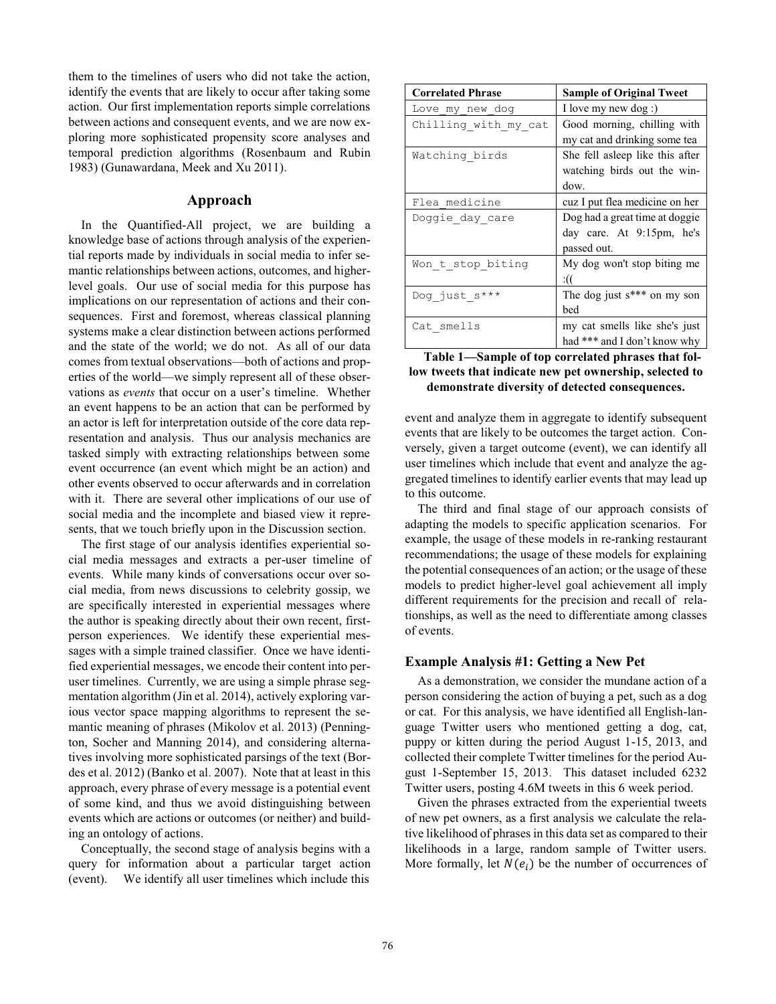them to the timelines of users who did not take the action, identify the events that are likely to occur after taking some action. Our first implementation reports simple correlations between actions and consequent events, and we are now exploring more sophisticated propensity score analyses and temporal prediction algorithms (Rosenbaum and Rubin 1983) (Gunawardana, Meek and Xu 2011).

## **Approach**

In the Quantified-All project, we are building a knowledge base of actions through analysis of the experiential reports made by individuals in social media to infer semantic relationships between actions, outcomes, and higherlevel goals. Our use of social media for this purpose has implications on our representation of actions and their consequences. First and foremost, whereas classical planning systems make a clear distinction between actions performed and the state of the world; we do not. As all of our data comes from textual observations—both of actions and properties of the world—we simply represent all of these observations as *events* that occur on a user's timeline. Whether an event happens to be an action that can be performed by an actor is left for interpretation outside of the core data representation and analysis. Thus our analysis mechanics are tasked simply with extracting relationships between some event occurrence (an event which might be an action) and other events observed to occur afterwards and in correlation with it. There are several other implications of our use of social media and the incomplete and biased view it represents, that we touch briefly upon in the Discussion section.

The first stage of our analysis identifies experiential social media messages and extracts a per-user timeline of events. While many kinds of conversations occur over social media, from news discussions to celebrity gossip, we are specifically interested in experiential messages where the author is speaking directly about their own recent, firstperson experiences. We identify these experiential messages with a simple trained classifier. Once we have identified experiential messages, we encode their content into peruser timelines. Currently, we are using a simple phrase segmentation algorithm (Jin et al. 2014), actively exploring various vector space mapping algorithms to represent the semantic meaning of phrases (Mikolov et al. 2013) (Pennington, Socher and Manning 2014), and considering alternatives involving more sophisticated parsings of the text (Bordes et al. 2012) (Banko et al. 2007). Note that at least in this approach, every phrase of every message is a potential event of some kind, and thus we avoid distinguishing between events which are actions or outcomes (or neither) and building an ontology of actions.

Conceptually, the second stage of analysis begins with a query for information about a particular target action (event). We identify all user timelines which include this

| <b>Correlated Phrase</b> | <b>Sample of Original Tweet</b>  |
|--------------------------|----------------------------------|
| Love my new dog          | I love my new dog :)             |
| Chilling with my cat     | Good morning, chilling with      |
|                          | my cat and drinking some tea     |
| Watching birds           | She fell asleep like this after  |
|                          | watching birds out the win-      |
|                          | dow.                             |
| Flea medicine            | cuz I put flea medicine on her   |
| Doggie_day_care          | Dog had a great time at doggie   |
|                          | day care. At 9:15pm, he's        |
|                          | passed out.                      |
| Won t stop biting        | My dog won't stop biting me      |
|                          | :((                              |
| Dog just s***            | The dog just $s^{***}$ on my son |
|                          | bed                              |
| Cat smells               | my cat smells like she's just    |
|                          | had *** and I don't know why     |

## **Table 1—Sample of top correlated phrases that follow tweets that indicate new pet ownership, selected to demonstrate diversity of detected consequences.**

event and analyze them in aggregate to identify subsequent events that are likely to be outcomes the target action. Conversely, given a target outcome (event), we can identify all user timelines which include that event and analyze the aggregated timelines to identify earlier events that may lead up to this outcome.

The third and final stage of our approach consists of adapting the models to specific application scenarios. For example, the usage of these models in re-ranking restaurant recommendations; the usage of these models for explaining the potential consequences of an action; or the usage of these models to predict higher-level goal achievement all imply different requirements for the precision and recall of relationships, as well as the need to differentiate among classes of events.

## **Example Analysis #1: Getting a New Pet**

As a demonstration, we consider the mundane action of a person considering the action of buying a pet, such as a dog or cat. For this analysis, we have identified all English-language Twitter users who mentioned getting a dog, cat, puppy or kitten during the period August 1-15, 2013, and collected their complete Twitter timelines for the period August 1-September 15, 2013. This dataset included 6232 Twitter users, posting 4.6M tweets in this 6 week period.

Given the phrases extracted from the experiential tweets of new pet owners, as a first analysis we calculate the relative likelihood of phrases in this data set as compared to their likelihoods in a large, random sample of Twitter users. More formally, let  $N(e_i)$  be the number of occurrences of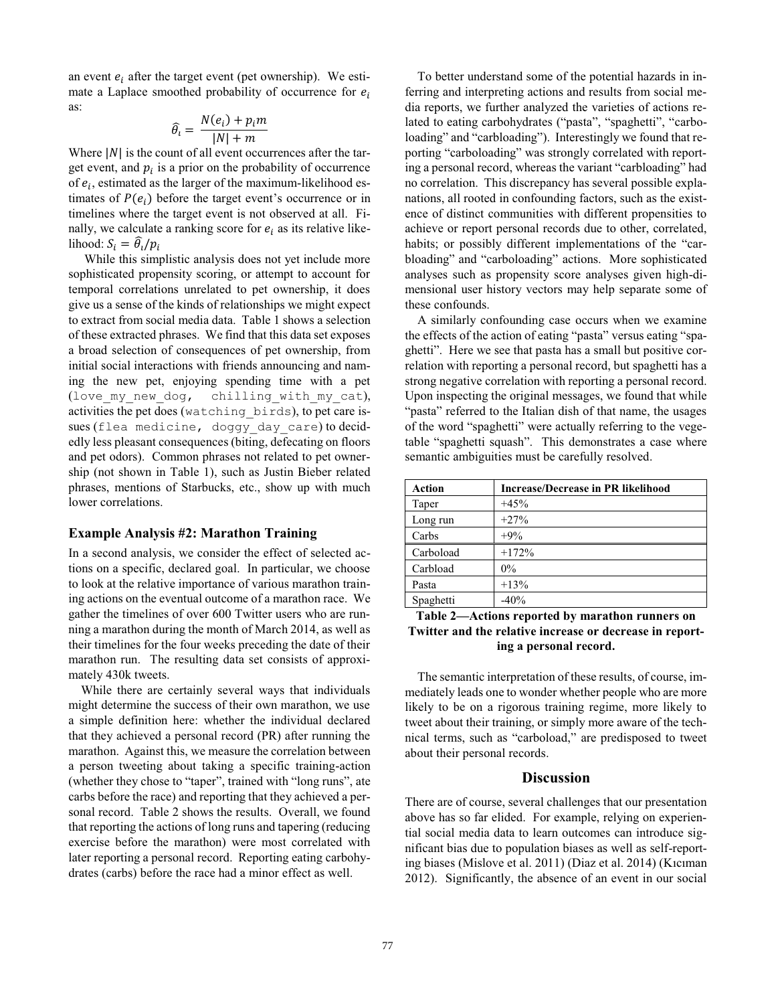an event  $e_i$  after the target event (pet ownership). We estimate a Laplace smoothed probability of occurrence for  $e_i$ as:

$$
\widehat{\theta}_i = \frac{N(e_i) + p_i m}{|N| + m}
$$

Where  $|N|$  is the count of all event occurrences after the target event, and  $p_i$  is a prior on the probability of occurrence of  $e_i$ , estimated as the larger of the maximum-likelihood estimates of  $P(e_i)$  before the target event's occurrence or in timelines where the target event is not observed at all. Finally, we calculate a ranking score for  $e_i$  as its relative likelihood:  $S_i = \theta_i / p_i$ 

 While this simplistic analysis does not yet include more sophisticated propensity scoring, or attempt to account for temporal correlations unrelated to pet ownership, it does give us a sense of the kinds of relationships we might expect to extract from social media data. Table 1 shows a selection of these extracted phrases. We find that this data set exposes a broad selection of consequences of pet ownership, from initial social interactions with friends announcing and naming the new pet, enjoying spending time with a pet (love my new dog, chilling with my cat), activities the pet does (watching\_birds), to pet care issues (flea medicine, doggy day care) to decidedly less pleasant consequences (biting, defecating on floors and pet odors). Common phrases not related to pet ownership (not shown in Table 1), such as Justin Bieber related phrases, mentions of Starbucks, etc., show up with much lower correlations.

# **Example Analysis #2: Marathon Training**

In a second analysis, we consider the effect of selected actions on a specific, declared goal. In particular, we choose to look at the relative importance of various marathon training actions on the eventual outcome of a marathon race. We gather the timelines of over 600 Twitter users who are running a marathon during the month of March 2014, as well as their timelines for the four weeks preceding the date of their marathon run. The resulting data set consists of approximately 430k tweets.

 While there are certainly several ways that individuals might determine the success of their own marathon, we use a simple definition here: whether the individual declared that they achieved a personal record (PR) after running the marathon. Against this, we measure the correlation between a person tweeting about taking a specific training-action (whether they chose to "taper", trained with "long runs", ate carbs before the race) and reporting that they achieved a personal record. Table 2 shows the results. Overall, we found that reporting the actions of long runs and tapering (reducing exercise before the marathon) were most correlated with later reporting a personal record. Reporting eating carbohydrates (carbs) before the race had a minor effect as well.

 To better understand some of the potential hazards in inferring and interpreting actions and results from social media reports, we further analyzed the varieties of actions related to eating carbohydrates ("pasta", "spaghetti", "carboloading" and "carbloading"). Interestingly we found that reporting "carboloading" was strongly correlated with reporting a personal record, whereas the variant "carbloading" had no correlation. This discrepancy has several possible explanations, all rooted in confounding factors, such as the existence of distinct communities with different propensities to achieve or report personal records due to other, correlated, habits; or possibly different implementations of the "carbloading" and "carboloading" actions. More sophisticated analyses such as propensity score analyses given high-dimensional user history vectors may help separate some of these confounds.

 A similarly confounding case occurs when we examine the effects of the action of eating "pasta" versus eating "spaghetti". Here we see that pasta has a small but positive correlation with reporting a personal record, but spaghetti has a strong negative correlation with reporting a personal record. Upon inspecting the original messages, we found that while "pasta" referred to the Italian dish of that name, the usages of the word "spaghetti" were actually referring to the vegetable "spaghetti squash". This demonstrates a case where semantic ambiguities must be carefully resolved.

| <b>Action</b> | <b>Increase/Decrease in PR likelihood</b> |
|---------------|-------------------------------------------|
| Taper         | $+45%$                                    |
| Long run      | $+27%$                                    |
| Carbs         | $+9\%$                                    |
| Carboload     | $+172%$                                   |
| Carbload      | $0\%$                                     |
| Pasta         | $+13%$                                    |
| Spaghetti     | $-40%$                                    |

# **Table 2—Actions reported by marathon runners on Twitter and the relative increase or decrease in reporting a personal record.**

 The semantic interpretation of these results, of course, immediately leads one to wonder whether people who are more likely to be on a rigorous training regime, more likely to tweet about their training, or simply more aware of the technical terms, such as "carboload," are predisposed to tweet about their personal records.

# **Discussion**

There are of course, several challenges that our presentation above has so far elided. For example, relying on experiential social media data to learn outcomes can introduce significant bias due to population biases as well as self-reporting biases (Mislove et al. 2011) (Diaz et al. 2014) (Kıcıman 2012). Significantly, the absence of an event in our social